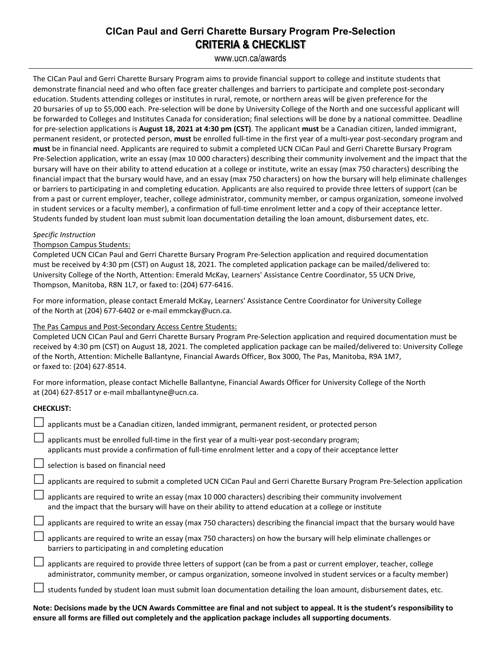# **CICan Paul and Gerri Charette Bursary Program Pre-Selection CRITERIA & CHECKLIST**

www.ucn.ca/awards

The CICan Paul and Gerri Charette Bursary Program aims to provide financial support to college and institute students that demonstrate financial need and who often face greater challenges and barriers to participate and complete post-secondary education. Students attending colleges or institutes in rural, remote, or northern areas will be given preference for the 20 bursaries of up to \$5,000 each. Pre-selection will be done by University College of the North and one successful applicant will be forwarded to Colleges and Institutes Canada for consideration; final selections will be done by a national committee. Deadline for pre-selection applications is **August 18, 2021 at 4:30 pm (CST)**. The applicant **must** be a Canadian citizen, landed immigrant, permanent resident, or protected person, **must** be enrolled full-time in the first year of a multi-year post-secondary program and **must** be in financial need. Applicants are required to submit a completed UCN CICan Paul and Gerri Charette Bursary Program Pre-Selection application, write an essay (max 10 000 characters) describing their community involvement and the impact that the bursary will have on their ability to attend education at a college or institute, write an essay (max 750 characters) describing the financial impact that the bursary would have, and an essay (max 750 characters) on how the bursary will help eliminate challenges or barriers to participating in and completing education. Applicants are also required to provide three letters of support (can be from a past or current employer, teacher, college administrator, community member, or campus organization, someone involved in student services or a faculty member), a confirmation of full-time enrolment letter and a copy of their acceptance letter. Students funded by student loan must submit loan documentation detailing the loan amount, disbursement dates, etc.

#### *Specific Instruction*

### Thompson Campus Students:

Completed UCN CICan Paul and Gerri Charette Bursary Program Pre-Selection application and required documentation must be received by 4:30 pm (CST) on August 18, 2021. The completed application package can be mailed/delivered to: University College of the North, Attention: Emerald McKay, Learners' Assistance Centre Coordinator, 55 UCN Drive, Thompson, Manitoba, R8N 1L7, or faxed to: (204) 677-6416.

For more information, please contact Emerald McKay, Learners' Assistance Centre Coordinator for University College of the North at (204) 677-6402 or e-mail emmckay@ucn.ca.

#### The Pas Campus and Post-Secondary Access Centre Students:

Completed UCN CICan Paul and Gerri Charette Bursary Program Pre-Selection application and required documentation must be received by 4:30 pm (CST) on August 18, 2021. The completed application package can be mailed/delivered to: University College of the North, Attention: Michelle Ballantyne, Financial Awards Officer, Box 3000, The Pas, Manitoba, R9A 1M7, or faxed to: (204) 627-8514.

For more information, please contact Michelle Ballantyne, Financial Awards Officer for University College of the North at (204) 627-8517 or e-mail mballantyne@ucn.ca.

#### **CHECKLIST:**

| applicants must be a Canadian citizen, landed immigrant, permanent resident, or protected person                                                                                                                                            |
|---------------------------------------------------------------------------------------------------------------------------------------------------------------------------------------------------------------------------------------------|
| applicants must be enrolled full-time in the first year of a multi-year post-secondary program;<br>applicants must provide a confirmation of full-time enrolment letter and a copy of their acceptance letter                               |
| selection is based on financial need                                                                                                                                                                                                        |
| $\Box$ applicants are required to submit a completed UCN CICan Paul and Gerri Charette Bursary Program Pre-Selection application                                                                                                            |
| applicants are required to write an essay (max 10 000 characters) describing their community involvement<br>and the impact that the bursary will have on their ability to attend education at a college or institute                        |
| applicants are required to write an essay (max 750 characters) describing the financial impact that the bursary would have                                                                                                                  |
| applicants are required to write an essay (max 750 characters) on how the bursary will help eliminate challenges or<br>barriers to participating in and completing education                                                                |
| applicants are required to provide three letters of support (can be from a past or current employer, teacher, college<br>administrator, community member, or campus organization, someone involved in student services or a faculty member) |
| students funded by student loan must submit loan documentation detailing the loan amount, disbursement dates, etc.                                                                                                                          |

**Note: Decisions made by the UCN Awards Committee are final and not subject to appeal. It is the student's responsibility to ensure all forms are filled out completely and the application package includes all supporting documents**.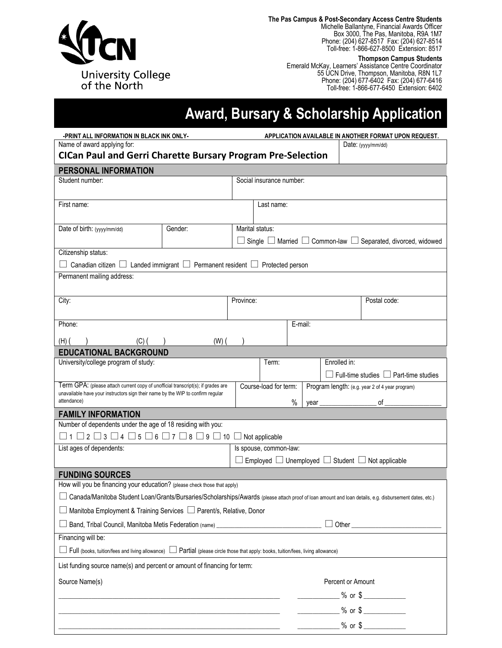

**The Pas Campus & Post-Secondary Access Centre Students**

Michelle Ballantyne, Financial Awards Officer Box 3000, The Pas, Manitoba, R9A 1M7 Phone: (204) 627-8517 Fax: (204) 627-8514 Toll-free: 1-866-627-8500 Extension: 8517

**Thompson Campus Students** Emerald McKay, Learners' Assistance Centre Coordinator 55 UCN Drive, Thompson, Manitoba, R8N 1L7 Phone: (204) 677-6402 Fax: (204) 677-6416 Toll-free: 1-866-677-6450 Extension: 6402

# **Award, Bursary & Scholarship Application**

| -PRINT ALL INFORMATION IN BLACK INK ONLY-                                                                                                                                          | APPLICATION AVAILABLE IN ANOTHER FORMAT UPON REQUEST. |                                                                                                       |                                                                                                                                                                                                                                                                                               |                    |                                                   |  |  |  |
|------------------------------------------------------------------------------------------------------------------------------------------------------------------------------------|-------------------------------------------------------|-------------------------------------------------------------------------------------------------------|-----------------------------------------------------------------------------------------------------------------------------------------------------------------------------------------------------------------------------------------------------------------------------------------------|--------------------|---------------------------------------------------|--|--|--|
| Name of award applying for:<br><b>CICan Paul and Gerri Charette Bursary Program Pre-Selection</b>                                                                                  |                                                       |                                                                                                       |                                                                                                                                                                                                                                                                                               | Date: (yyyy/mm/dd) |                                                   |  |  |  |
| <b>PERSONAL INFORMATION</b>                                                                                                                                                        |                                                       |                                                                                                       |                                                                                                                                                                                                                                                                                               |                    |                                                   |  |  |  |
| Student number:                                                                                                                                                                    |                                                       | Social insurance number:                                                                              |                                                                                                                                                                                                                                                                                               |                    |                                                   |  |  |  |
| First name:                                                                                                                                                                        |                                                       | Last name:                                                                                            |                                                                                                                                                                                                                                                                                               |                    |                                                   |  |  |  |
| Date of birth: (yyyy/mm/dd)                                                                                                                                                        | Gender:                                               | Marital status:<br>$\Box$ Single $\Box$ Married $\Box$ Common-law $\Box$ Separated, divorced, widowed |                                                                                                                                                                                                                                                                                               |                    |                                                   |  |  |  |
| Citizenship status:<br>Canadian citizen $\Box$ Landed immigrant $\Box$ Permanent resident $\Box$ Protected person                                                                  |                                                       |                                                                                                       |                                                                                                                                                                                                                                                                                               |                    |                                                   |  |  |  |
| Permanent mailing address:                                                                                                                                                         |                                                       |                                                                                                       |                                                                                                                                                                                                                                                                                               |                    |                                                   |  |  |  |
|                                                                                                                                                                                    |                                                       |                                                                                                       |                                                                                                                                                                                                                                                                                               |                    |                                                   |  |  |  |
| City:                                                                                                                                                                              |                                                       | Province:                                                                                             |                                                                                                                                                                                                                                                                                               |                    | Postal code:                                      |  |  |  |
| Phone:                                                                                                                                                                             |                                                       |                                                                                                       | E-mail:                                                                                                                                                                                                                                                                                       |                    |                                                   |  |  |  |
| $(H)$ (<br>(C) (                                                                                                                                                                   | $(W)$ (                                               |                                                                                                       |                                                                                                                                                                                                                                                                                               |                    |                                                   |  |  |  |
| <b>EDUCATIONAL BACKGROUND</b>                                                                                                                                                      |                                                       |                                                                                                       |                                                                                                                                                                                                                                                                                               |                    |                                                   |  |  |  |
| University/college program of study:                                                                                                                                               |                                                       | Term:                                                                                                 |                                                                                                                                                                                                                                                                                               | Enrolled in:       | $\Box$ Full-time studies $\Box$ Part-time studies |  |  |  |
| Term GPA: (please attach current copy of unofficial transcript(s); if grades are<br>unavailable have your instructors sign their name by the WIP to confirm regular<br>attendance) | Course-load for term:                                 | $\%$                                                                                                  | Program length: (e.g. year 2 of 4 year program)<br>$of_$<br>$year$ and $(1, 1)$ and $(2, 1)$ and $(3, 1)$ and $(4, 1)$ and $(5, 1)$ and $(6, 1)$ and $(7, 1)$ and $(8, 1)$ and $(9, 1)$ and $(1, 1)$ and $(1, 1)$ and $(1, 1)$ and $(1, 1)$ and $(1, 1)$ and $(1, 1)$ and $(1, 1)$ and $(1, $ |                    |                                                   |  |  |  |
| <b>FAMILY INFORMATION</b>                                                                                                                                                          |                                                       |                                                                                                       |                                                                                                                                                                                                                                                                                               |                    |                                                   |  |  |  |
| Number of dependents under the age of 18 residing with you:                                                                                                                        |                                                       |                                                                                                       |                                                                                                                                                                                                                                                                                               |                    |                                                   |  |  |  |
| $\Box$ 1 $\Box$ 2 $\Box$ 3 $\Box$ 4 $\Box$ 5 $\Box$ 6 $\Box$ 7 $\Box$ 8 $\Box$ 9 $\Box$ 10 $\Box$ Not applicable                                                                   |                                                       |                                                                                                       |                                                                                                                                                                                                                                                                                               |                    |                                                   |  |  |  |
| List ages of dependents:                                                                                                                                                           | Is spouse, common-law:                                |                                                                                                       |                                                                                                                                                                                                                                                                                               |                    |                                                   |  |  |  |
| Employed □ Unemployed □ Student □ Not applicable                                                                                                                                   |                                                       |                                                                                                       |                                                                                                                                                                                                                                                                                               |                    |                                                   |  |  |  |
| <b>FUNDING SOURCES</b>                                                                                                                                                             |                                                       |                                                                                                       |                                                                                                                                                                                                                                                                                               |                    |                                                   |  |  |  |
| How will you be financing your education? (please check those that apply)                                                                                                          |                                                       |                                                                                                       |                                                                                                                                                                                                                                                                                               |                    |                                                   |  |  |  |
| Canada/Manitoba Student Loan/Grants/Bursaries/Scholarships/Awards (please attach proof of loan amount and loan details, e.g. disbursement dates, etc.)                             |                                                       |                                                                                                       |                                                                                                                                                                                                                                                                                               |                    |                                                   |  |  |  |
| Manitoba Employment & Training Services □ Parent/s, Relative, Donor                                                                                                                |                                                       |                                                                                                       |                                                                                                                                                                                                                                                                                               |                    |                                                   |  |  |  |
| Band, Tribal Council, Manitoba Metis Federation (name) _________________________                                                                                                   |                                                       |                                                                                                       |                                                                                                                                                                                                                                                                                               |                    |                                                   |  |  |  |
| Financing will be:                                                                                                                                                                 |                                                       |                                                                                                       |                                                                                                                                                                                                                                                                                               |                    |                                                   |  |  |  |
| $\Box$ Full (books, tuition/fees and living allowance) $\Box$ Partial (please circle those that apply: books, tuition/fees, living allowance)                                      |                                                       |                                                                                                       |                                                                                                                                                                                                                                                                                               |                    |                                                   |  |  |  |
| List funding source name(s) and percent or amount of financing for term:                                                                                                           |                                                       |                                                                                                       |                                                                                                                                                                                                                                                                                               |                    |                                                   |  |  |  |
| Source Name(s)                                                                                                                                                                     |                                                       |                                                                                                       |                                                                                                                                                                                                                                                                                               | Percent or Amount  |                                                   |  |  |  |
|                                                                                                                                                                                    |                                                       |                                                                                                       |                                                                                                                                                                                                                                                                                               |                    | ______________% or \$ ______________              |  |  |  |
|                                                                                                                                                                                    |                                                       |                                                                                                       |                                                                                                                                                                                                                                                                                               |                    | $\frac{1}{2}$ % or \$                             |  |  |  |
|                                                                                                                                                                                    |                                                       |                                                                                                       |                                                                                                                                                                                                                                                                                               |                    | $%$ or $\frac{2}{1}$                              |  |  |  |